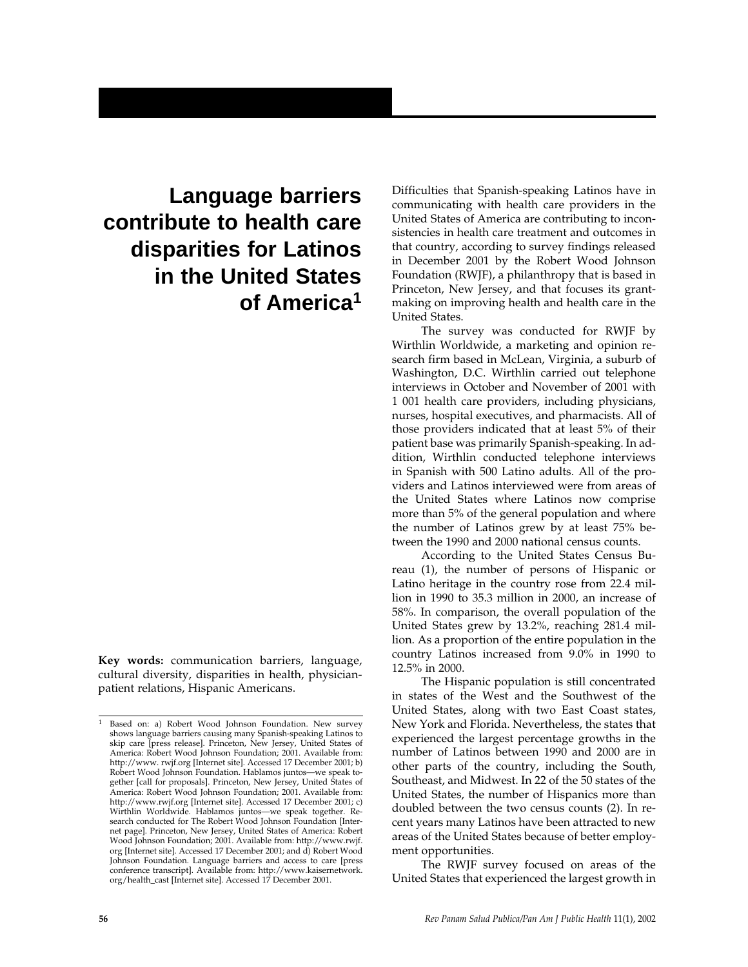# **Language barriers contribute to health care disparities for Latinos in the United States of America1**

**Key words:** communication barriers, language, cultural diversity, disparities in health, physicianpatient relations, Hispanic Americans.

Difficulties that Spanish-speaking Latinos have in communicating with health care providers in the United States of America are contributing to inconsistencies in health care treatment and outcomes in that country, according to survey findings released in December 2001 by the Robert Wood Johnson Foundation (RWJF), a philanthropy that is based in Princeton, New Jersey, and that focuses its grantmaking on improving health and health care in the United States.

The survey was conducted for RWJF by Wirthlin Worldwide, a marketing and opinion research firm based in McLean, Virginia, a suburb of Washington, D.C. Wirthlin carried out telephone interviews in October and November of 2001 with 1 001 health care providers, including physicians, nurses, hospital executives, and pharmacists. All of those providers indicated that at least 5% of their patient base was primarily Spanish-speaking. In addition, Wirthlin conducted telephone interviews in Spanish with 500 Latino adults. All of the providers and Latinos interviewed were from areas of the United States where Latinos now comprise more than 5% of the general population and where the number of Latinos grew by at least 75% between the 1990 and 2000 national census counts.

According to the United States Census Bureau (1), the number of persons of Hispanic or Latino heritage in the country rose from 22.4 million in 1990 to 35.3 million in 2000, an increase of 58%. In comparison, the overall population of the United States grew by 13.2%, reaching 281.4 million. As a proportion of the entire population in the country Latinos increased from 9.0% in 1990 to 12.5% in 2000.

The Hispanic population is still concentrated in states of the West and the Southwest of the United States, along with two East Coast states, New York and Florida. Nevertheless, the states that experienced the largest percentage growths in the number of Latinos between 1990 and 2000 are in other parts of the country, including the South, Southeast, and Midwest. In 22 of the 50 states of the United States, the number of Hispanics more than doubled between the two census counts (2). In recent years many Latinos have been attracted to new areas of the United States because of better employment opportunities.

The RWJF survey focused on areas of the United States that experienced the largest growth in

Based on: a) Robert Wood Johnson Foundation. New survey shows language barriers causing many Spanish-speaking Latinos to skip care [press release]. Princeton, New Jersey, United States of America: Robert Wood Johnson Foundation; 2001. Available from: http://www. rwjf.org [Internet site]. Accessed 17 December 2001; b) Robert Wood Johnson Foundation. Hablamos juntos—we speak together [call for proposals]. Princeton, New Jersey, United States of America: Robert Wood Johnson Foundation; 2001. Available from: http://www.rwjf.org [Internet site]. Accessed 17 December 2001; c) Wirthlin Worldwide. Hablamos juntos—we speak together. Research conducted for The Robert Wood Johnson Foundation [Internet page]. Princeton, New Jersey, United States of America: Robert Wood Johnson Foundation; 2001. Available from: http://www.rwjf. org [Internet site]. Accessed 17 December 2001; and d) Robert Wood Johnson Foundation. Language barriers and access to care [press conference transcript]. Available from: http://www.kaisernetwork. org/health\_cast [Internet site]. Accessed 17 December 2001.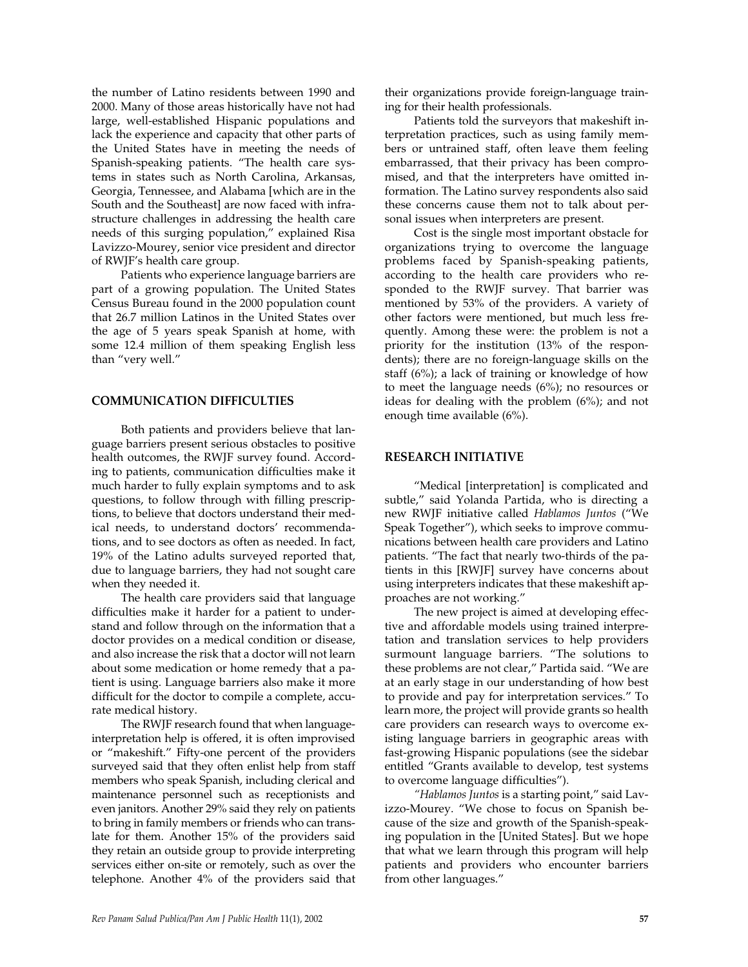the number of Latino residents between 1990 and 2000. Many of those areas historically have not had large, well-established Hispanic populations and lack the experience and capacity that other parts of the United States have in meeting the needs of Spanish-speaking patients. "The health care systems in states such as North Carolina, Arkansas, Georgia, Tennessee, and Alabama [which are in the South and the Southeast] are now faced with infrastructure challenges in addressing the health care needs of this surging population," explained Risa Lavizzo-Mourey, senior vice president and director of RWJF's health care group.

Patients who experience language barriers are part of a growing population. The United States Census Bureau found in the 2000 population count that 26.7 million Latinos in the United States over the age of 5 years speak Spanish at home, with some 12.4 million of them speaking English less than "very well."

### **COMMUNICATION DIFFICULTIES**

Both patients and providers believe that language barriers present serious obstacles to positive health outcomes, the RWJF survey found. According to patients, communication difficulties make it much harder to fully explain symptoms and to ask questions, to follow through with filling prescriptions, to believe that doctors understand their medical needs, to understand doctors' recommendations, and to see doctors as often as needed. In fact, 19% of the Latino adults surveyed reported that, due to language barriers, they had not sought care when they needed it.

The health care providers said that language difficulties make it harder for a patient to understand and follow through on the information that a doctor provides on a medical condition or disease, and also increase the risk that a doctor will not learn about some medication or home remedy that a patient is using. Language barriers also make it more difficult for the doctor to compile a complete, accurate medical history.

The RWJF research found that when languageinterpretation help is offered, it is often improvised or "makeshift." Fifty-one percent of the providers surveyed said that they often enlist help from staff members who speak Spanish, including clerical and maintenance personnel such as receptionists and even janitors. Another 29% said they rely on patients to bring in family members or friends who can translate for them. Another 15% of the providers said they retain an outside group to provide interpreting services either on-site or remotely, such as over the telephone. Another 4% of the providers said that

their organizations provide foreign-language training for their health professionals.

Patients told the surveyors that makeshift interpretation practices, such as using family members or untrained staff, often leave them feeling embarrassed, that their privacy has been compromised, and that the interpreters have omitted information. The Latino survey respondents also said these concerns cause them not to talk about personal issues when interpreters are present.

Cost is the single most important obstacle for organizations trying to overcome the language problems faced by Spanish-speaking patients, according to the health care providers who responded to the RWJF survey. That barrier was mentioned by 53% of the providers. A variety of other factors were mentioned, but much less frequently. Among these were: the problem is not a priority for the institution (13% of the respondents); there are no foreign-language skills on the staff (6%); a lack of training or knowledge of how to meet the language needs (6%); no resources or ideas for dealing with the problem (6%); and not enough time available (6%).

### **RESEARCH INITIATIVE**

"Medical [interpretation] is complicated and subtle," said Yolanda Partida, who is directing a new RWJF initiative called *Hablamos Juntos* ("We Speak Together"), which seeks to improve communications between health care providers and Latino patients. "The fact that nearly two-thirds of the patients in this [RWJF] survey have concerns about using interpreters indicates that these makeshift approaches are not working."

The new project is aimed at developing effective and affordable models using trained interpretation and translation services to help providers surmount language barriers. "The solutions to these problems are not clear," Partida said. "We are at an early stage in our understanding of how best to provide and pay for interpretation services." To learn more, the project will provide grants so health care providers can research ways to overcome existing language barriers in geographic areas with fast-growing Hispanic populations (see the sidebar entitled "Grants available to develop, test systems to overcome language difficulties").

*"Hablamos Juntos* is a starting point," said Lavizzo-Mourey. "We chose to focus on Spanish because of the size and growth of the Spanish-speaking population in the [United States]. But we hope that what we learn through this program will help patients and providers who encounter barriers from other languages."